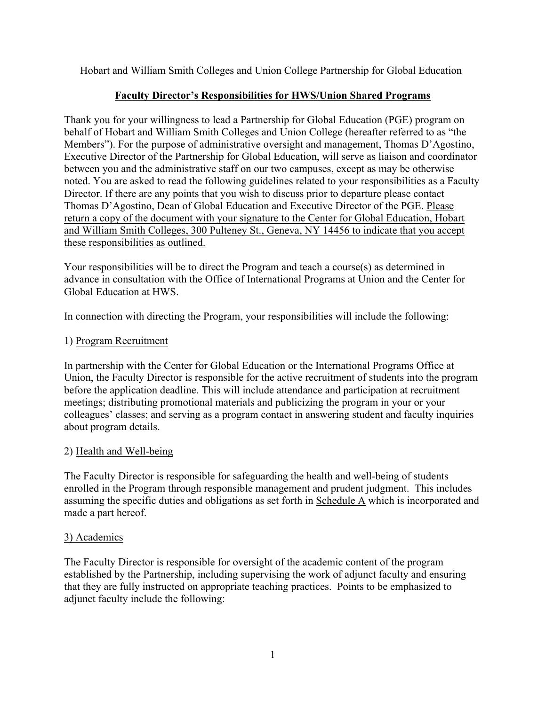Hobart and William Smith Colleges and Union College Partnership for Global Education

# **Faculty Director's Responsibilities for HWS/Union Shared Programs**

Thank you for your willingness to lead a Partnership for Global Education (PGE) program on behalf of Hobart and William Smith Colleges and Union College (hereafter referred to as "the Members"). For the purpose of administrative oversight and management, Thomas D'Agostino, Executive Director of the Partnership for Global Education, will serve as liaison and coordinator between you and the administrative staff on our two campuses, except as may be otherwise noted. You are asked to read the following guidelines related to your responsibilities as a Faculty Director. If there are any points that you wish to discuss prior to departure please contact Thomas D'Agostino, Dean of Global Education and Executive Director of the PGE. Please return a copy of the document with your signature to the Center for Global Education, Hobart and William Smith Colleges, 300 Pulteney St., Geneva, NY 14456 to indicate that you accept these responsibilities as outlined.

Your responsibilities will be to direct the Program and teach a course(s) as determined in advance in consultation with the Office of International Programs at Union and the Center for Global Education at HWS.

In connection with directing the Program, your responsibilities will include the following:

# 1) Program Recruitment

In partnership with the Center for Global Education or the International Programs Office at Union, the Faculty Director is responsible for the active recruitment of students into the program before the application deadline. This will include attendance and participation at recruitment meetings; distributing promotional materials and publicizing the program in your or your colleagues' classes; and serving as a program contact in answering student and faculty inquiries about program details.

## 2) Health and Well-being

The Faculty Director is responsible for safeguarding the health and well-being of students enrolled in the Program through responsible management and prudent judgment. This includes assuming the specific duties and obligations as set forth in Schedule A which is incorporated and made a part hereof.

## 3) Academics

The Faculty Director is responsible for oversight of the academic content of the program established by the Partnership, including supervising the work of adjunct faculty and ensuring that they are fully instructed on appropriate teaching practices. Points to be emphasized to adjunct faculty include the following: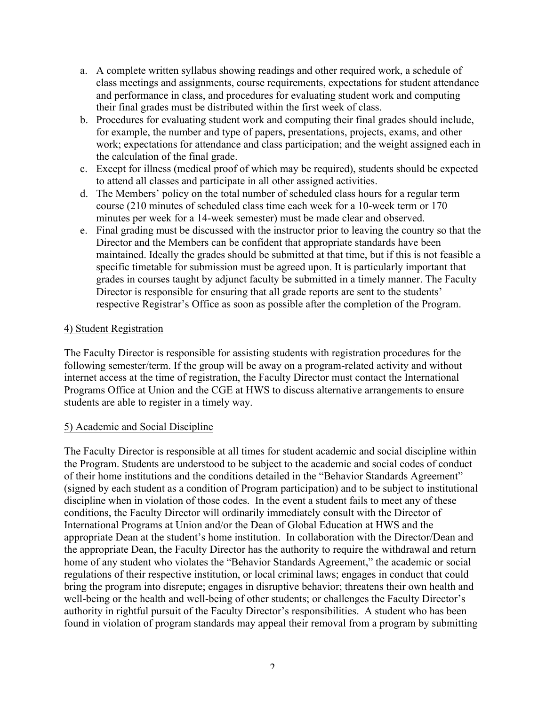- a. A complete written syllabus showing readings and other required work, a schedule of class meetings and assignments, course requirements, expectations for student attendance and performance in class, and procedures for evaluating student work and computing their final grades must be distributed within the first week of class.
- b. Procedures for evaluating student work and computing their final grades should include, for example, the number and type of papers, presentations, projects, exams, and other work; expectations for attendance and class participation; and the weight assigned each in the calculation of the final grade.
- c. Except for illness (medical proof of which may be required), students should be expected to attend all classes and participate in all other assigned activities.
- d. The Members' policy on the total number of scheduled class hours for a regular term course (210 minutes of scheduled class time each week for a 10-week term or 170 minutes per week for a 14-week semester) must be made clear and observed.
- e. Final grading must be discussed with the instructor prior to leaving the country so that the Director and the Members can be confident that appropriate standards have been maintained. Ideally the grades should be submitted at that time, but if this is not feasible a specific timetable for submission must be agreed upon. It is particularly important that grades in courses taught by adjunct faculty be submitted in a timely manner. The Faculty Director is responsible for ensuring that all grade reports are sent to the students' respective Registrar's Office as soon as possible after the completion of the Program.

## 4) Student Registration

The Faculty Director is responsible for assisting students with registration procedures for the following semester/term. If the group will be away on a program-related activity and without internet access at the time of registration, the Faculty Director must contact the International Programs Office at Union and the CGE at HWS to discuss alternative arrangements to ensure students are able to register in a timely way.

#### 5) Academic and Social Discipline

The Faculty Director is responsible at all times for student academic and social discipline within the Program. Students are understood to be subject to the academic and social codes of conduct of their home institutions and the conditions detailed in the "Behavior Standards Agreement" (signed by each student as a condition of Program participation) and to be subject to institutional discipline when in violation of those codes. In the event a student fails to meet any of these conditions, the Faculty Director will ordinarily immediately consult with the Director of International Programs at Union and/or the Dean of Global Education at HWS and the appropriate Dean at the student's home institution. In collaboration with the Director/Dean and the appropriate Dean, the Faculty Director has the authority to require the withdrawal and return home of any student who violates the "Behavior Standards Agreement," the academic or social regulations of their respective institution, or local criminal laws; engages in conduct that could bring the program into disrepute; engages in disruptive behavior; threatens their own health and well-being or the health and well-being of other students; or challenges the Faculty Director's authority in rightful pursuit of the Faculty Director's responsibilities. A student who has been found in violation of program standards may appeal their removal from a program by submitting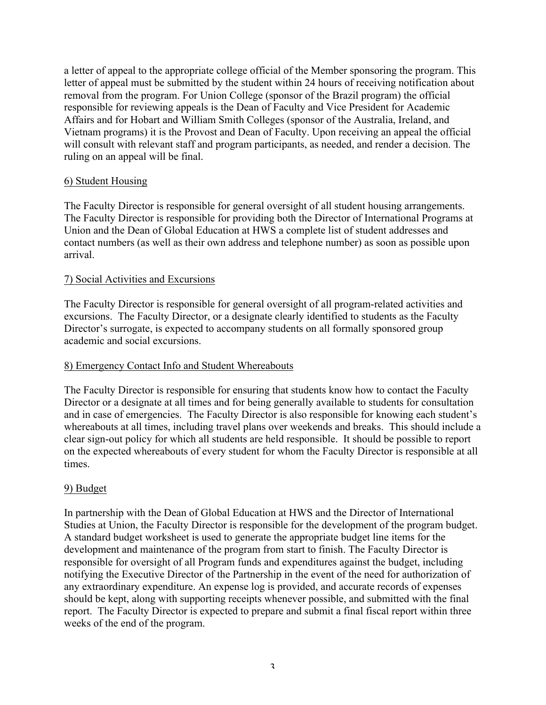a letter of appeal to the appropriate college official of the Member sponsoring the program. This letter of appeal must be submitted by the student within 24 hours of receiving notification about removal from the program. For Union College (sponsor of the Brazil program) the official responsible for reviewing appeals is the Dean of Faculty and Vice President for Academic Affairs and for Hobart and William Smith Colleges (sponsor of the Australia, Ireland, and Vietnam programs) it is the Provost and Dean of Faculty. Upon receiving an appeal the official will consult with relevant staff and program participants, as needed, and render a decision. The ruling on an appeal will be final.

## 6) Student Housing

The Faculty Director is responsible for general oversight of all student housing arrangements. The Faculty Director is responsible for providing both the Director of International Programs at Union and the Dean of Global Education at HWS a complete list of student addresses and contact numbers (as well as their own address and telephone number) as soon as possible upon arrival.

#### 7) Social Activities and Excursions

The Faculty Director is responsible for general oversight of all program-related activities and excursions. The Faculty Director, or a designate clearly identified to students as the Faculty Director's surrogate, is expected to accompany students on all formally sponsored group academic and social excursions.

#### 8) Emergency Contact Info and Student Whereabouts

The Faculty Director is responsible for ensuring that students know how to contact the Faculty Director or a designate at all times and for being generally available to students for consultation and in case of emergencies. The Faculty Director is also responsible for knowing each student's whereabouts at all times, including travel plans over weekends and breaks. This should include a clear sign-out policy for which all students are held responsible. It should be possible to report on the expected whereabouts of every student for whom the Faculty Director is responsible at all times.

#### 9) Budget

In partnership with the Dean of Global Education at HWS and the Director of International Studies at Union, the Faculty Director is responsible for the development of the program budget. A standard budget worksheet is used to generate the appropriate budget line items for the development and maintenance of the program from start to finish. The Faculty Director is responsible for oversight of all Program funds and expenditures against the budget, including notifying the Executive Director of the Partnership in the event of the need for authorization of any extraordinary expenditure. An expense log is provided, and accurate records of expenses should be kept, along with supporting receipts whenever possible, and submitted with the final report. The Faculty Director is expected to prepare and submit a final fiscal report within three weeks of the end of the program.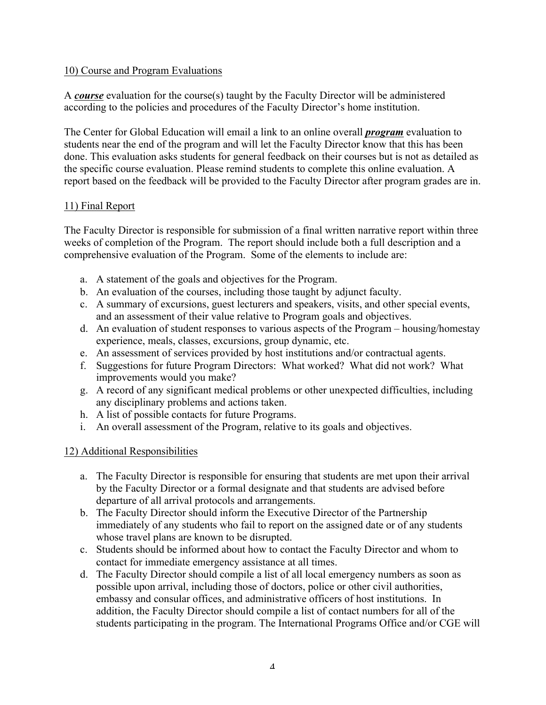## 10) Course and Program Evaluations

A *course* evaluation for the course(s) taught by the Faculty Director will be administered according to the policies and procedures of the Faculty Director's home institution.

The Center for Global Education will email a link to an online overall *program* evaluation to students near the end of the program and will let the Faculty Director know that this has been done. This evaluation asks students for general feedback on their courses but is not as detailed as the specific course evaluation. Please remind students to complete this online evaluation. A report based on the feedback will be provided to the Faculty Director after program grades are in.

## 11) Final Report

The Faculty Director is responsible for submission of a final written narrative report within three weeks of completion of the Program. The report should include both a full description and a comprehensive evaluation of the Program. Some of the elements to include are:

- a. A statement of the goals and objectives for the Program.
- b. An evaluation of the courses, including those taught by adjunct faculty.
- c. A summary of excursions, guest lecturers and speakers, visits, and other special events, and an assessment of their value relative to Program goals and objectives.
- d. An evaluation of student responses to various aspects of the Program housing/homestay experience, meals, classes, excursions, group dynamic, etc.
- e. An assessment of services provided by host institutions and/or contractual agents.
- f. Suggestions for future Program Directors: What worked? What did not work? What improvements would you make?
- g. A record of any significant medical problems or other unexpected difficulties, including any disciplinary problems and actions taken.
- h. A list of possible contacts for future Programs.
- i. An overall assessment of the Program, relative to its goals and objectives.

## 12) Additional Responsibilities

- a. The Faculty Director is responsible for ensuring that students are met upon their arrival by the Faculty Director or a formal designate and that students are advised before departure of all arrival protocols and arrangements.
- b. The Faculty Director should inform the Executive Director of the Partnership immediately of any students who fail to report on the assigned date or of any students whose travel plans are known to be disrupted.
- c. Students should be informed about how to contact the Faculty Director and whom to contact for immediate emergency assistance at all times.
- d. The Faculty Director should compile a list of all local emergency numbers as soon as possible upon arrival, including those of doctors, police or other civil authorities, embassy and consular offices, and administrative officers of host institutions. In addition, the Faculty Director should compile a list of contact numbers for all of the students participating in the program. The International Programs Office and/or CGE will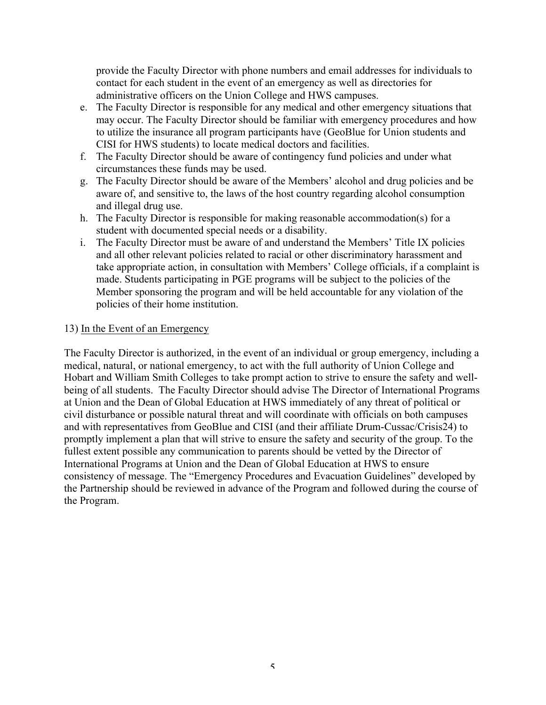provide the Faculty Director with phone numbers and email addresses for individuals to contact for each student in the event of an emergency as well as directories for administrative officers on the Union College and HWS campuses.

- e. The Faculty Director is responsible for any medical and other emergency situations that may occur. The Faculty Director should be familiar with emergency procedures and how to utilize the insurance all program participants have (GeoBlue for Union students and CISI for HWS students) to locate medical doctors and facilities.
- f. The Faculty Director should be aware of contingency fund policies and under what circumstances these funds may be used.
- g. The Faculty Director should be aware of the Members' alcohol and drug policies and be aware of, and sensitive to, the laws of the host country regarding alcohol consumption and illegal drug use.
- h. The Faculty Director is responsible for making reasonable accommodation(s) for a student with documented special needs or a disability.
- i. The Faculty Director must be aware of and understand the Members' Title IX policies and all other relevant policies related to racial or other discriminatory harassment and take appropriate action, in consultation with Members' College officials, if a complaint is made. Students participating in PGE programs will be subject to the policies of the Member sponsoring the program and will be held accountable for any violation of the policies of their home institution.

#### 13) In the Event of an Emergency

The Faculty Director is authorized, in the event of an individual or group emergency, including a medical, natural, or national emergency, to act with the full authority of Union College and Hobart and William Smith Colleges to take prompt action to strive to ensure the safety and wellbeing of all students. The Faculty Director should advise The Director of International Programs at Union and the Dean of Global Education at HWS immediately of any threat of political or civil disturbance or possible natural threat and will coordinate with officials on both campuses and with representatives from GeoBlue and CISI (and their affiliate Drum-Cussac/Crisis24) to promptly implement a plan that will strive to ensure the safety and security of the group. To the fullest extent possible any communication to parents should be vetted by the Director of International Programs at Union and the Dean of Global Education at HWS to ensure consistency of message. The "Emergency Procedures and Evacuation Guidelines" developed by the Partnership should be reviewed in advance of the Program and followed during the course of the Program.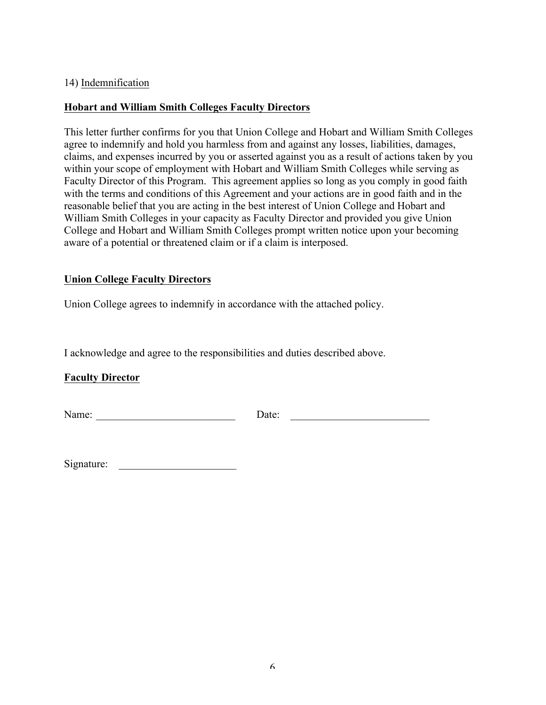#### 14) Indemnification

## **Hobart and William Smith Colleges Faculty Directors**

This letter further confirms for you that Union College and Hobart and William Smith Colleges agree to indemnify and hold you harmless from and against any losses, liabilities, damages, claims, and expenses incurred by you or asserted against you as a result of actions taken by you within your scope of employment with Hobart and William Smith Colleges while serving as Faculty Director of this Program. This agreement applies so long as you comply in good faith with the terms and conditions of this Agreement and your actions are in good faith and in the reasonable belief that you are acting in the best interest of Union College and Hobart and William Smith Colleges in your capacity as Faculty Director and provided you give Union College and Hobart and William Smith Colleges prompt written notice upon your becoming aware of a potential or threatened claim or if a claim is interposed.

## **Union College Faculty Directors**

Union College agrees to indemnify in accordance with the attached policy.

I acknowledge and agree to the responsibilities and duties described above.

## **Faculty Director**

Name: \_\_\_\_\_\_\_\_\_\_\_\_\_\_\_\_\_\_\_\_\_\_\_\_\_\_ Date: \_\_\_\_\_\_\_\_\_\_\_\_\_\_\_\_\_\_\_\_\_\_\_\_\_\_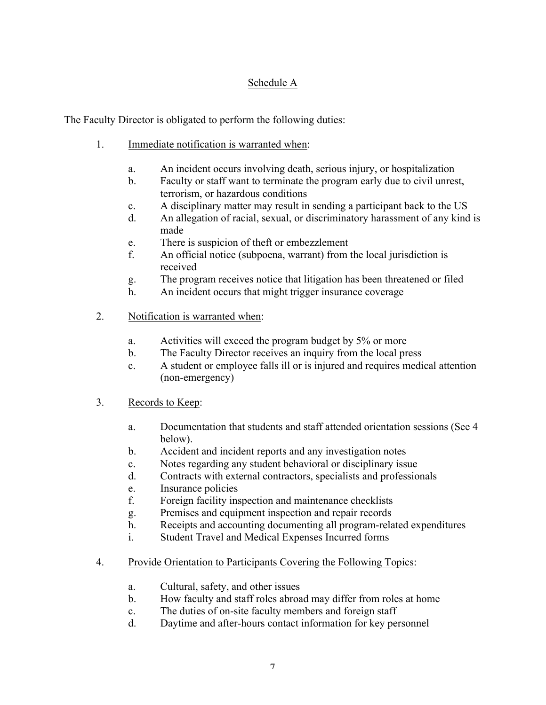# Schedule A

The Faculty Director is obligated to perform the following duties:

- 1. Immediate notification is warranted when:
	- a. An incident occurs involving death, serious injury, or hospitalization
	- b. Faculty or staff want to terminate the program early due to civil unrest, terrorism, or hazardous conditions
	- c. A disciplinary matter may result in sending a participant back to the US
	- d. An allegation of racial, sexual, or discriminatory harassment of any kind is made
	- e. There is suspicion of theft or embezzlement
	- f. An official notice (subpoena, warrant) from the local jurisdiction is received
	- g. The program receives notice that litigation has been threatened or filed
	- h. An incident occurs that might trigger insurance coverage
- 2. Notification is warranted when:
	- a. Activities will exceed the program budget by 5% or more
	- b. The Faculty Director receives an inquiry from the local press
	- c. A student or employee falls ill or is injured and requires medical attention (non-emergency)
- 3. Records to Keep:
	- a. Documentation that students and staff attended orientation sessions (See 4 below).
	- b. Accident and incident reports and any investigation notes
	- c. Notes regarding any student behavioral or disciplinary issue
	- d. Contracts with external contractors, specialists and professionals
	- e. Insurance policies
	- f. Foreign facility inspection and maintenance checklists
	- g. Premises and equipment inspection and repair records
	- h. Receipts and accounting documenting all program-related expenditures
	- i. Student Travel and Medical Expenses Incurred forms
- 4. Provide Orientation to Participants Covering the Following Topics:
	- a. Cultural, safety, and other issues
	- b. How faculty and staff roles abroad may differ from roles at home
	- c. The duties of on-site faculty members and foreign staff
	- d. Daytime and after-hours contact information for key personnel